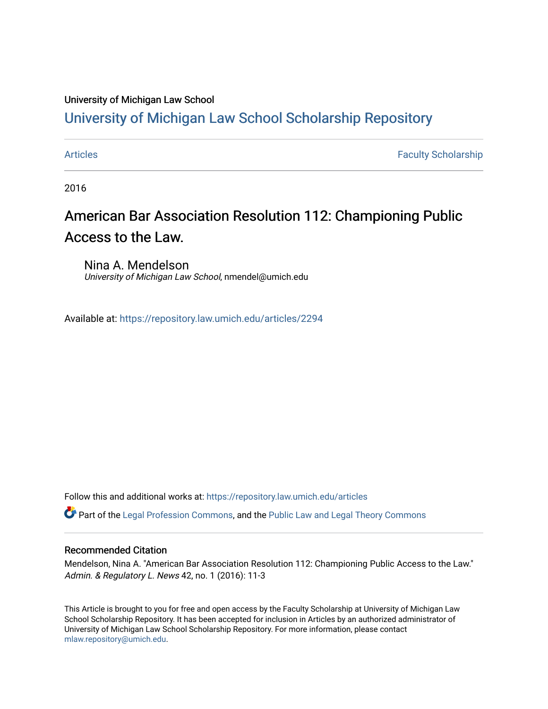### University of Michigan Law School

## [University of Michigan Law School Scholarship Repository](https://repository.law.umich.edu/)

[Articles](https://repository.law.umich.edu/articles) **Faculty Scholarship** Faculty Scholarship

2016

## American Bar Association Resolution 112: Championing Public Access to the Law.

Nina A. Mendelson University of Michigan Law School, nmendel@umich.edu

Available at: <https://repository.law.umich.edu/articles/2294>

Follow this and additional works at: [https://repository.law.umich.edu/articles](https://repository.law.umich.edu/articles?utm_source=repository.law.umich.edu%2Farticles%2F2294&utm_medium=PDF&utm_campaign=PDFCoverPages) 

**P** Part of the [Legal Profession Commons](http://network.bepress.com/hgg/discipline/1075?utm_source=repository.law.umich.edu%2Farticles%2F2294&utm_medium=PDF&utm_campaign=PDFCoverPages), and the [Public Law and Legal Theory Commons](http://network.bepress.com/hgg/discipline/871?utm_source=repository.law.umich.edu%2Farticles%2F2294&utm_medium=PDF&utm_campaign=PDFCoverPages)

#### Recommended Citation

Mendelson, Nina A. "American Bar Association Resolution 112: Championing Public Access to the Law." Admin. & Regulatory L. News 42, no. 1 (2016): 11-3

This Article is brought to you for free and open access by the Faculty Scholarship at University of Michigan Law School Scholarship Repository. It has been accepted for inclusion in Articles by an authorized administrator of University of Michigan Law School Scholarship Repository. For more information, please contact [mlaw.repository@umich.edu.](mailto:mlaw.repository@umich.edu)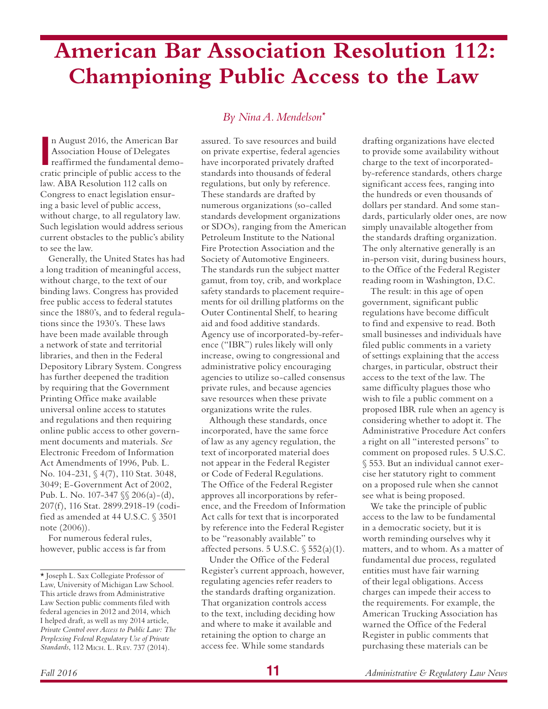# **American Bar Association Resolution 112: Championing Public Access to the Law**

In August 2016, the American Bar<br>
Association House of Delegates<br>
reaffirmed the fundamental demo-<br>
cratic principle of public access to the n August 2016, the American Bar Association House of Delegates reaffirmed the fundamental demolaw. ABA Resolution 112 calls on Congress to enact legislation ensuring a basic level of public access, without charge, to all regulatory law. Such legislation would address serious current obstacles to the public's ability to see the law.

Generally, the United States has had a long tradition of meaningful access, without charge, to the text of our binding laws. Congress has provided free public access to federal statutes since the 1880's, and to federal regulations since the 1930's. These laws have been made available through a network of state and territorial libraries, and then in the Federal Depository Library System. Congress has further deepened the tradition by requiring that the Government Printing Office make available universal online access to statutes and regulations and then requiring online public access to other government documents and materials. *See* Electronic Freedom of Information Act Amendments of 1996, Pub. L. No. 104-231, § 4(7), 110 Stat. 3048, 3049; E-Government Act of 2002, Pub. L. No. 107-347 §§ 206(a)-(d), 207(f), 116 Stat. 2899.2918-19 (codified as amended at 44 U.S.C. § 3501 note (2006)).

For numerous federal rules, however, public access is far from

## *By Nina A. Mendelson\**

assured. To save resources and build on private expertise, federal agencies have incorporated privately drafted standards into thousands of federal regulations, but only by reference. These standards are drafted by numerous organizations (so-called standards development organizations or SDOs), ranging from the American Petroleum Institute to the National Fire Protection Association and the Society of Automotive Engineers. The standards run the subject matter gamut, from toy, crib, and workplace safety standards to placement requirements for oil drilling platforms on the Outer Continental Shelf, to hearing aid and food additive standards. Agency use of incorporated-by-reference ("IBR") rules likely will only increase, owing to congressional and administrative policy encouraging agencies to utilize so-called consensus private rules, and because agencies save resources when these private organizations write the rules.

Although these standards, once incorporated, have the same force of law as any agency regulation, the text of incorporated material does not appear in the Federal Register or Code of Federal Regulations. The Office of the Federal Register approves all incorporations by reference, and the Freedom of Information Act calls for text that is incorporated by reference into the Federal Register to be "reasonably available" to affected persons. 5 U.S.C.  $\sqrt{552(a)(1)}$ .

Under the Office of the Federal Register's current approach, however, regulating agencies refer readers to the standards drafting organization. That organization controls access to the text, including deciding how and where to make it available and retaining the option to charge an access fee. While some standards

drafting organizations have elected to provide some availability without charge to the text of incorporatedby-reference standards, others charge significant access fees, ranging into the hundreds or even thousands of dollars per standard. And some standards, particularly older ones, are now simply unavailable altogether from the standards drafting organization. The only alternative generally is an in-person visit, during business hours, to the Office of the Federal Register reading room in Washington, D.C.

The result: in this age of open government, significant public regulations have become difficult to find and expensive to read. Both small businesses and individuals have filed public comments in a variety of settings explaining that the access charges, in particular, obstruct their access to the text of the law. The same difficulty plagues those who wish to file a public comment on a proposed IBR rule when an agency is considering whether to adopt it. The Administrative Procedure Act confers a right on all "interested persons" to comment on proposed rules. 5 U.S.C. § 553. But an individual cannot exercise her statutory right to comment on a proposed rule when she cannot see what is being proposed.

We take the principle of public access to the law to be fundamental in a democratic society, but it is worth reminding ourselves why it matters, and to whom. As a matter of fundamental due process, regulated entities must have fair warning of their legal obligations. Access charges can impede their access to the requirements. For example, the American Trucking Association has warned the Office of the Federal Register in public comments that purchasing these materials can be

<sup>\*</sup> Joseph L. Sax Collegiate Professor of Law, University of Michigan Law School. This article draws from Administrative Law Section public comments filed with federal agencies in 2012 and 2014, which I helped draft, as well as my 2014 article, *Private Control over Access to Public Law: The Perplexing Federal Regulatory Use of Private Standards*, 112 MICH. L. REV. 737 (2014).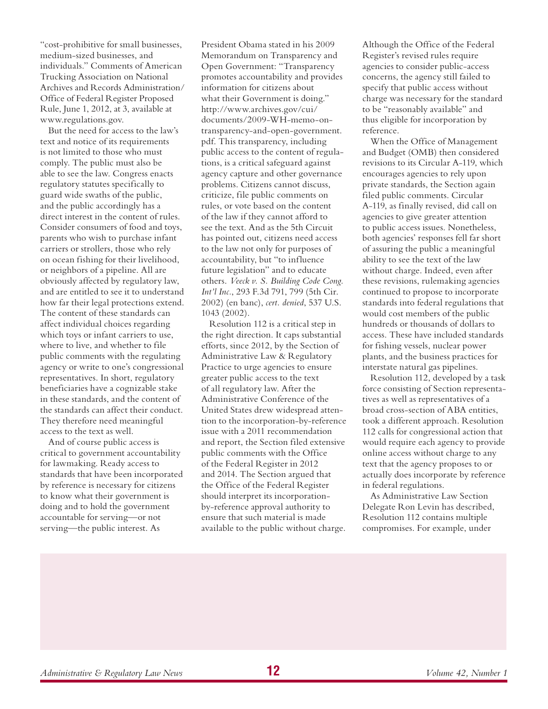"cost-prohibitive for small businesses, medium-sized businesses, and individuals." Comments of American Trucking Association on National Archives and Records Administration/ Office of Federal Register Proposed Rule, June 1, 2012, at 3, available at www.regulations.gov.

But the need for access to the law's text and notice of its requirements is not limited to those who must comply. The public must also be able to see the law. Congress enacts regulatory statutes specifically to guard wide swaths of the public, and the public accordingly has a direct interest in the content of rules. Consider consumers of food and toys, parents who wish to purchase infant carriers or strollers, those who rely on ocean fishing for their livelihood, or neighbors of a pipeline. All are obviously affected by regulatory law, and are entitled to see it to understand how far their legal protections extend. The content of these standards can affect individual choices regarding which toys or infant carriers to use, where to live, and whether to file public comments with the regulating agency or write to one's congressional representatives. In short, regulatory beneficiaries have a cognizable stake in these standards, and the content of the standards can affect their conduct. They therefore need meaningful access to the text as well.

And of course public access is critical to government accountability for lawmaking. Ready access to standards that have been incorporated by reference is necessary for citizens to know what their government is doing and to hold the government accountable for serving—or not serving—the public interest. As

President Obama stated in his 2009 Memorandum on Transparency and Open Government: "Transparency promotes accountability and provides information for citizens about what their Government is doing." http://www.archives.gov/cui/ documents/2009-WH-memo-ontransparency-and-open-government. pdf. This transparency, including public access to the content of regulations, is a critical safeguard against agency capture and other governance problems. Citizens cannot discuss, criticize, file public comments on rules, or vote based on the content of the law if they cannot afford to see the text. And as the 5th Circuit has pointed out, citizens need access to the law not only for purposes of accountability, but "to influence future legislation" and to educate others. *Veeck v. S. Building Code Cong. Int'l Inc.*, 293 F.3d 791, 799 (5th Cir. 2002) (en banc), *cert. denied*, 537 U.S. 1043 (2002).

Resolution 112 is a critical step in the right direction. It caps substantial efforts, since 2012, by the Section of Administrative Law & Regulatory Practice to urge agencies to ensure greater public access to the text of all regulatory law. After the Administrative Conference of the United States drew widespread attention to the incorporation-by-reference issue with a 2011 recommendation and report, the Section filed extensive public comments with the Office of the Federal Register in 2012 and 2014. The Section argued that the Office of the Federal Register should interpret its incorporationby-reference approval authority to ensure that such material is made available to the public without charge.

Although the Office of the Federal Register's revised rules require agencies to consider public-access concerns, the agency still failed to specify that public access without charge was necessary for the standard to be "reasonably available" and thus eligible for incorporation by reference.

When the Office of Management and Budget (OMB) then considered revisions to its Circular A-119, which encourages agencies to rely upon private standards, the Section again filed public comments. Circular A-119, as finally revised, did call on agencies to give greater attention to public access issues. Nonetheless, both agencies' responses fell far short of assuring the public a meaningful ability to see the text of the law without charge. Indeed, even after these revisions, rulemaking agencies continued to propose to incorporate standards into federal regulations that would cost members of the public hundreds or thousands of dollars to access. These have included standards for fishing vessels, nuclear power plants, and the business practices for interstate natural gas pipelines.

Resolution 112, developed by a task force consisting of Section representatives as well as representatives of a broad cross-section of ABA entities, took a different approach. Resolution 112 calls for congressional action that would require each agency to provide online access without charge to any text that the agency proposes to or actually does incorporate by reference in federal regulations.

As Administrative Law Section Delegate Ron Levin has described, Resolution 112 contains multiple compromises. For example, under